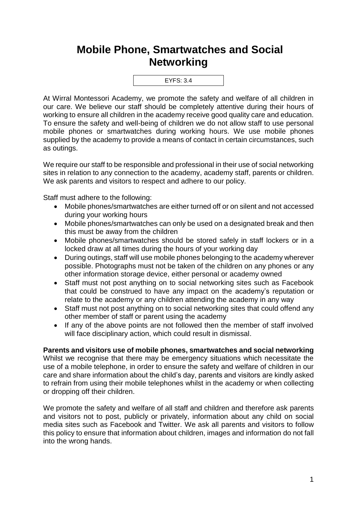## **Mobile Phone, Smartwatches and Social Networking**



At Wirral Montessori Academy, we promote the safety and welfare of all children in our care. We believe our staff should be completely attentive during their hours of working to ensure all children in the academy receive good quality care and education. To ensure the safety and well-being of children we do not allow staff to use personal mobile phones or smartwatches during working hours. We use mobile phones supplied by the academy to provide a means of contact in certain circumstances, such as outings.

We require our staff to be responsible and professional in their use of social networking sites in relation to any connection to the academy, academy staff, parents or children. We ask parents and visitors to respect and adhere to our policy.

Staff must adhere to the following:

- Mobile phones/smartwatches are either turned off or on silent and not accessed during your working hours
- Mobile phones/smartwatches can only be used on a designated break and then this must be away from the children
- Mobile phones/smartwatches should be stored safely in staff lockers or in a locked draw at all times during the hours of your working day
- During outings, staff will use mobile phones belonging to the academy wherever possible. Photographs must not be taken of the children on any phones or any other information storage device, either personal or academy owned
- Staff must not post anything on to social networking sites such as Facebook that could be construed to have any impact on the academy's reputation or relate to the academy or any children attending the academy in any way
- Staff must not post anything on to social networking sites that could offend any other member of staff or parent using the academy
- If any of the above points are not followed then the member of staff involved will face disciplinary action, which could result in dismissal.

## **Parents and visitors use of mobile phones, smartwatches and social networking**

Whilst we recognise that there may be emergency situations which necessitate the use of a mobile telephone, in order to ensure the safety and welfare of children in our care and share information about the child's day, parents and visitors are kindly asked to refrain from using their mobile telephones whilst in the academy or when collecting or dropping off their children.

We promote the safety and welfare of all staff and children and therefore ask parents and visitors not to post, publicly or privately, information about any child on social media sites such as Facebook and Twitter. We ask all parents and visitors to follow this policy to ensure that information about children, images and information do not fall into the wrong hands.